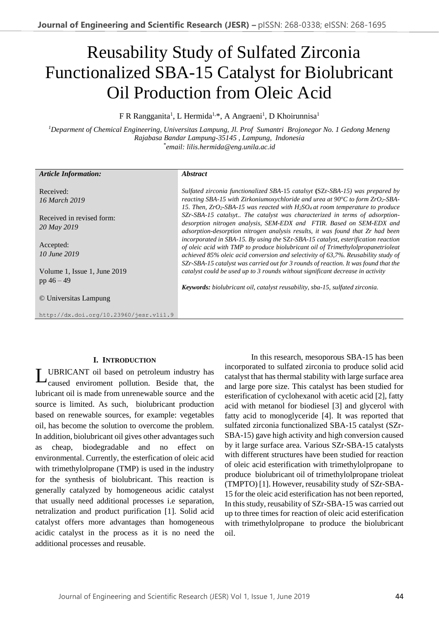# Reusability Study of Sulfated Zirconia Functionalized SBA-15 Catalyst for Biolubricant Oil Production from Oleic Acid

F R Rangganita<sup>1</sup>, L Hermida<sup>1,\*</sup>, A Angraeni<sup>1</sup>, D Khoirunnisa<sup>1</sup>

*<sup>1</sup>Deparment of Chemical Engineering, Universitas Lampung, Jl. Prof Sumantri Brojonegor No. 1 Gedong Meneng Rajabasa Bandar Lampung-35145 , Lampung, Indonesia* \* *email: lilis.hermida@eng.unila.ac.id* 

| <b>Article Information:</b>            | <b>Abstract</b>                                                                                     |
|----------------------------------------|-----------------------------------------------------------------------------------------------------|
|                                        |                                                                                                     |
| Received:                              | Sulfated zirconia functionalized SBA-15 catalsyt (SZr-SBA-15) was prepared by                       |
| 16 March 2019                          | reacting SBA-15 with Zirkoniumoxychloride and urea at $90^{\circ}$ C to form ZrO <sub>2</sub> -SBA- |
|                                        | 15. Then, $ZrO_2$ -SBA-15 was reacted with $H_2SO_4$ at room temperature to produce                 |
| Received in revised form:              | SZr-SBA-15 catalsyt The catalyst was characterized in terms of adsorption-                          |
| 20 May 2019                            | desorption nitrogen analysis, SEM-EDX and FTIR. Based on SEM-EDX and                                |
|                                        | adsorption-desorption nitrogen analysis results, it was found that Zr had been                      |
| Accepted:                              | incorporated in SBA-15. By using the SZr-SBA-15 catalyst, esterification reaction                   |
| 10 June 2019                           | of oleic acid with TMP to produce biolubricant oil of Trimethylolpropanetrioleat                    |
|                                        | achieved 85% oleic acid conversion and selectivity of 63,7%. Reusability study of                   |
|                                        | SZr-SBA-15 catalyst was carried out for 3 rounds of reaction. It was found that the                 |
| Volume 1, Issue 1, June 2019           | catalyst could be used up to 3 rounds without significant decrease in activity                      |
| pp $46 - 49$                           |                                                                                                     |
|                                        | <b>Keywords:</b> biolubricant oil, catalyst reusability, sba-15, sulfated zirconia.                 |
| © Universitas Lampung                  |                                                                                                     |
|                                        |                                                                                                     |
| http://dx.doi.org/10.23960/jesr.vli1.9 |                                                                                                     |

# **I. INTRODUCTION**

UBRICANT oil based on petroleum industry has caused enviroment pollution. Beside that, the lubricant oil is made from unrenewable source and the source is limited. As such, biolubricant production based on renewable sources, for example: vegetables oil, has become the solution to overcome the problem. In addition, biolubricant oil gives other advantages such as cheap, biodegradable and no effect on environmental. Currently, the esterfication of oleic acid with trimethylolpropane (TMP) is used in the industry for the synthesis of biolubricant. This reaction is generally catalyzed by homogeneous acidic catalyst that usually need additional processes i.e separation, netralization and product purification [1]. Solid acid catalyst offers more advantages than homogeneous acidic catalyst in the process as it is no need the additional processes and reusable. L

In this research, mesoporous SBA-15 has been incorporated to sulfated zirconia to produce solid acid catalyst that has thermal stability with large surface area and large pore size. This catalyst has been studied for esterification of cyclohexanol with acetic acid [2], fatty acid with metanol for biodiesel [3] and glycerol with fatty acid to monoglyceride [4]. It was reported that sulfated zirconia functionalized SBA-15 catalyst (SZr-SBA-15) gave high activity and high conversion caused by it large surface area. Various SZr-SBA-15 catalysts with different structures have been studied for reaction of oleic acid esterification with trimethylolpropane to produce biolubricant oil of trimethylolpropane trioleat (TMPTO) [1]. However, reusability study of SZr-SBA-15 for the oleic acid esterification has not been reported, In this study, reusability of SZr-SBA-15 was carried out up to three times for reaction of oleic acid esterification with trimethylolpropane to produce the biolubricant oil.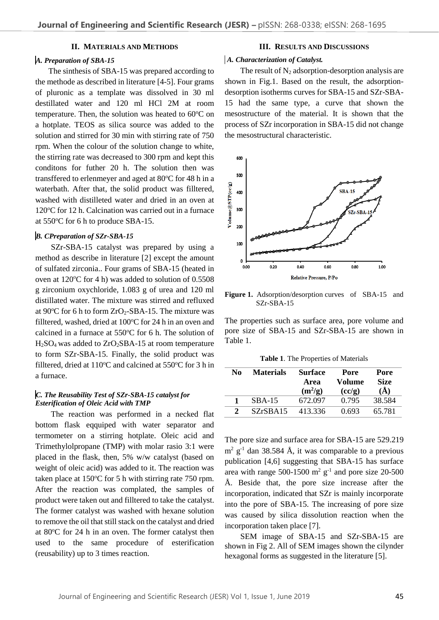## **II. MATERIALS AND METHODS**

## *A. Preparation of SBA-15*

The sinthesis of SBA-15 was prepared according to the methode as described in literature [4-5]. Four grams of pluronic as a template was dissolved in 30 ml destillated water and 120 ml HCl 2M at room temperature. Then, the solution was heated to  $60^{\circ}$ C on a hotplate. TEOS as silica source was added to the solution and stirred for 30 min with stirring rate of 750 rpm. When the colour of the solution change to white, the stirring rate was decreased to 300 rpm and kept this conditons for futher 20 h. The solution then was transffered to erlenmeyer and aged at  $80^{\circ}$ C for 48 h in a waterbath. After that, the solid product was filltered, washed with distilleted water and dried in an oven at  $120^{\circ}$ C for 12 h. Calcination was carried out in a furnace at 550°C for 6 h to produce SBA-15.

#### *B. CPreparation of SZr-SBA-15*

SZr-SBA-15 catalyst was prepared by using a method as describe in literature [2] except the amount of sulfated zirconia.. Four grams of SBA-15 (heated in oven at  $120^{\circ}$ C for 4 h) was added to solution of 0.5508 g zirconium oxychloride, 1.083 g of urea and 120 ml distillated water. The mixture was stirred and refluxed at 90 $\degree$ C for 6 h to form  $ZrO_2$ -SBA-15. The mixture was filltered, washed, dried at  $100^{\circ}$ C for 24 h in an oven and calcined in a furnace at  $550^{\circ}$ C for 6 h. The solution of  $H<sub>2</sub>SO<sub>4</sub>$  was added to  $ZrO<sub>2</sub>SBA-15$  at room temperature to form SZr-SBA-15. Finally, the solid product was filltered, dried at  $110^{\circ}$ C and calcined at  $550^{\circ}$ C for 3 h in a furnace.

## *C. The Reusability Test of SZr-SBA-15 catalyst for Esterification of Oleic Acid with TMP*

The reaction was performed in a necked flat bottom flask eqquiped with water separator and termometer on a stirring hotplate. Oleic acid and Trimethylolpropane (TMP) with molar rasio 3:1 were placed in the flask, then, 5% w/w catalyst (based on weight of oleic acid) was added to it. The reaction was taken place at  $150^{\circ}$ C for 5 h with stirring rate 750 rpm. After the reaction was complated, the samples of product were taken out and filltered to take the catalyst. The former catalyst was washed with hexane solution to remove the oil that still stack on the catalyst and dried at  $80^{\circ}$ C for 24 h in an oven. The former catalyst then used to the same procedure of esterification (reusability) up to 3 times reaction.

#### **III. RESULTS AND DISCUSSIONS**

#### *A. Characterization of Catalyst.*

The result of  $N_2$  adsorption-desorption analysis are shown in Fig.1. Based on the result, the adsorptiondesorption isotherms curves for SBA-15 and SZr-SBA-15 had the same type, a curve that shown the mesostructure of the material. It is shown that the process of SZr incorporation in SBA-15 did not change the mesostructural characteristic.



**Figure 1.** Adsorption/desorption curves of SBA-15 and SZr-SBA-15

The properties such as surface area, pore volume and pore size of SBA-15 and SZr-SBA-15 are shown in Table 1.

**Table 1**. The Properties of Materials

| No                          | <b>Materials</b> | <b>Surface</b><br>Area<br>$(m^2/g)$ | Pore<br>Volume<br>(cc/g) | Pore<br><b>Size</b><br>$\mathring{A}$ |
|-----------------------------|------------------|-------------------------------------|--------------------------|---------------------------------------|
|                             | $SBA-15$         | 672.097                             | 0.795                    | 38.584                                |
| $\mathcal{D}_{\mathcal{L}}$ | SZrSBA15         | 413.336                             | 0.693                    | 65.781                                |

The pore size and surface area for SBA-15 are 529.219  $m^2$  g<sup>-1</sup> dan 38.584 Å, it was comparable to a previous publication [4,6] suggesting that SBA-15 has surface area with range 500-1500  $\text{m}^2$  g<sup>-1</sup> and pore size 20-500 Å. Beside that, the pore size increase after the incorporation, indicated that SZr is mainly incorporate into the pore of SBA-15. The increasing of pore size was caused by silica dissolution reaction when the incorporation taken place [7].

SEM image of SBA-15 and SZr-SBA-15 are shown in Fig 2. All of SEM images shown the cilynder hexagonal forms as suggested in the literature [5].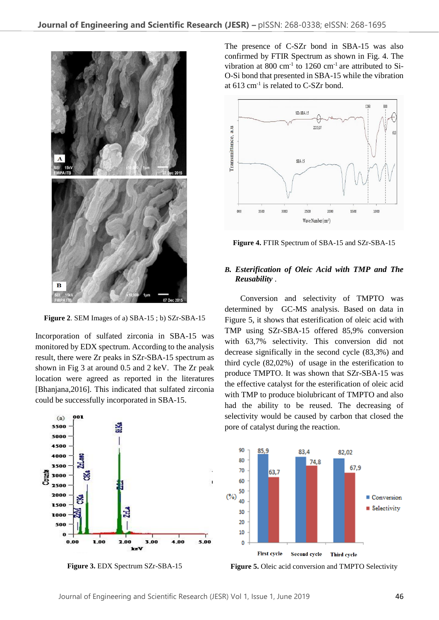

**Figure 2**. SEM Images of a) SBA-15 ; b) SZr-SBA-15

Incorporation of sulfated zirconia in SBA-15 was monitored by EDX spectrum. According to the analysis result, there were Zr peaks in SZr-SBA-15 spectrum as shown in Fig 3 at around 0.5 and 2 keV. The Zr peak location were agreed as reported in the literatures [Bhanjana,2016]. This indicated that sulfated zirconia could be successfully incorporated in SBA-15.



**Figure 3.** EDX Spectrum SZr-SBA-15

The presence of C-SZr bond in SBA-15 was also confirmed by FTIR Spectrum as shown in Fig. 4. The vibration at 800 cm<sup>-1</sup> to 1260 cm<sup>-1</sup> are attributed to Si-O-Si bond that presented in SBA-15 while the vibration at  $613 \text{ cm}^{-1}$  is related to C-SZr bond.



**Figure 4.** FTIR Spectrum of SBA-15 and SZr-SBA-15

# *B. Esterification of Oleic Acid with TMP and The Reusability* .

Conversion and selectivity of TMPTO was determined by GC-MS analysis. Based on data in Figure 5, it shows that esterification of oleic acid with TMP using SZr-SBA-15 offered 85,9% conversion with 63,7% selectivity. This conversion did not decrease significally in the second cycle (83,3%) and third cycle (82,02%) of usage in the esterification to produce TMPTO. It was shown that SZr-SBA-15 was the effective catalyst for the esterification of oleic acid with TMP to produce biolubricant of TMPTO and also had the ability to be reused. The decreasing of selectivity would be caused by carbon that closed the pore of catalyst during the reaction.